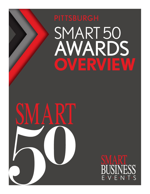



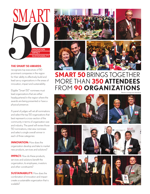

#### **THE SMART 50 AWARDS**

recognizes top executives of 50 prominent companies in the region for their ability to effectively build and lead savvy organizations in the areas of innovation, impact and sustainability.

Eligible "Smart 50" nominees must lead organizations that are either headquartered in the region where the awards are being presented or have a physical presence.

A panel of judges will vet all nominations and select the top 50 organizations that best represent a cross-section of the community in terms of organization size and industry. The panel will review those 50 nominations, interview nominees and select a single overall winner in each of three categories:

**INNOVATION:** How does the organization develop and take to market new products, services and solutions?

**IMPACT:** How do these products, services and solutions benefit the organization, its employees, investors and other constituents?

**SUSTAINABILITY:** How does the combination of innovation and impact create a sustainable organization that is scalable?





\*Based on average event attendance





# **SMART 50** BRINGS TOGETHER MORE THAN **350 ATTENDEES** FROM **90 ORGANIZATIONS**







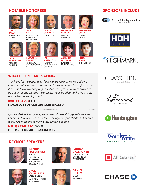## **NOTABLE HONOREES**



**SCOTT A. BAKER** 5 GENERATION BAKERS

**DAVID MOREHOUSE PITTSBURGH PENGUINS** 





**TACY BYHAM** DEVELOPMENT DIMENSIONS INTERNATIONAL



**JOE MASSARO III** MASSARO **CONSTRUCTION** GROUP INC.



**NICHOLAS J. DEIULIIS CONSOL** ENERGY INC.





**HELEN HANNA CASEY HOWARD** HANNA

**ARADHNA OLIPHANT** LEADERSHIP PITTSBURGH INC.



**WANG** TMD HOLDINGS



INC.

**EDWARD H. KENNEDY** TOLLGRADE COMMUNICATIONS

Thank you for the opportunity. I have to tell you that we were all very impressed with the event. Everyone in the room seemed energized to be there and the networking opportunities were great. We were excited to be a sponsor and enjoyed the evening. From the décor to the food to the goodie bag, all was top notch.

#### **BOB FRAGASSO** CEO **FRAGASSO FINANCIAL ADVISORS** (SPONSOR)

I just wanted to thank you again for a terrific event! My quests were very happy and thought it was a perfect evening. I felt (and still do) so honored to have been among so many other amazing people.

#### **MELISSA MIGLIARO** OWNER **MIGLIARO CONSULTING** (HONOREE)

### **KEYNOTE SPEAKERS**



**DENNIS YABLONSKY** CEO

ALLEGHENY **CONFERENCE** ON COMMUNITY DEVELOPMENT



**JACK OUELLETTE** CHAIRMAN AMERICAN TEXTILE COMPANY



**PATRICK GALLAGHER CHANCELLOR** UNIVERSITY OF **PITTSBURGH** 



**SPONSORS INCLUDE**



Arthur J. Gallagher & Co. **BUSINESS WITHOUT BARRIERS** 





CLARK HII egal and Professional Services

PITTSBURGH